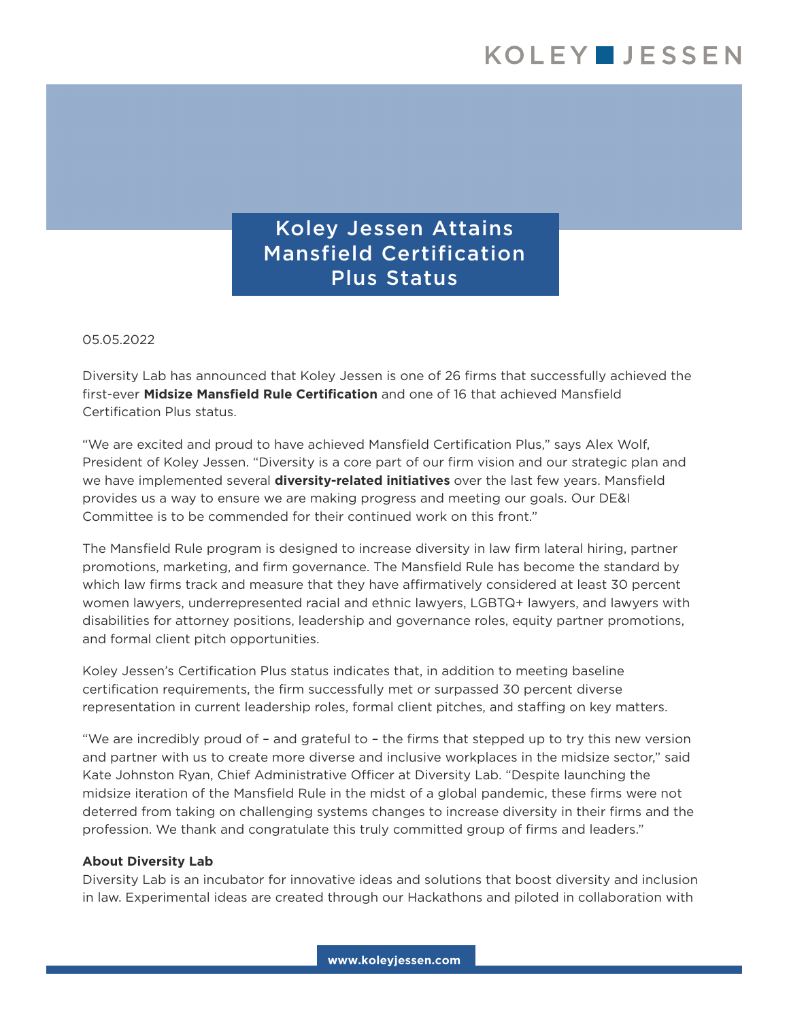Koley Jessen Attains Mansfield Certification Plus Status

## 05.05.2022

Diversity Lab has announced that Koley Jessen is one of 26 firms that successfully achieved the first-ever **Midsize Mansfield Rule Certification** and one of 16 that achieved Mansfield Certification Plus status.

"We are excited and proud to have achieved Mansfield Certification Plus," says Alex Wolf, President of Koley Jessen. "Diversity is a core part of our firm vision and our strategic plan and we have implemented several **diversity-related initiatives** over the last few years. Mansfield provides us a way to ensure we are making progress and meeting our goals. Our DE&I Committee is to be commended for their continued work on this front."

The Mansfield Rule program is designed to increase diversity in law firm lateral hiring, partner promotions, marketing, and firm governance. The Mansfield Rule has become the standard by which law firms track and measure that they have affirmatively considered at least 30 percent women lawyers, underrepresented racial and ethnic lawyers, LGBTQ+ lawyers, and lawyers with disabilities for attorney positions, leadership and governance roles, equity partner promotions, and formal client pitch opportunities.

Koley Jessen's Certification Plus status indicates that, in addition to meeting baseline certification requirements, the firm successfully met or surpassed 30 percent diverse representation in current leadership roles, formal client pitches, and staffing on key matters.

"We are incredibly proud of – and grateful to – the firms that stepped up to try this new version and partner with us to create more diverse and inclusive workplaces in the midsize sector," said Kate Johnston Ryan, Chief Administrative Officer at Diversity Lab. "Despite launching the midsize iteration of the Mansfield Rule in the midst of a global pandemic, these firms were not deterred from taking on challenging systems changes to increase diversity in their firms and the profession. We thank and congratulate this truly committed group of firms and leaders."

## **About Diversity Lab**

Diversity Lab is an incubator for innovative ideas and solutions that boost diversity and inclusion in law. Experimental ideas are created through our Hackathons and piloted in collaboration with